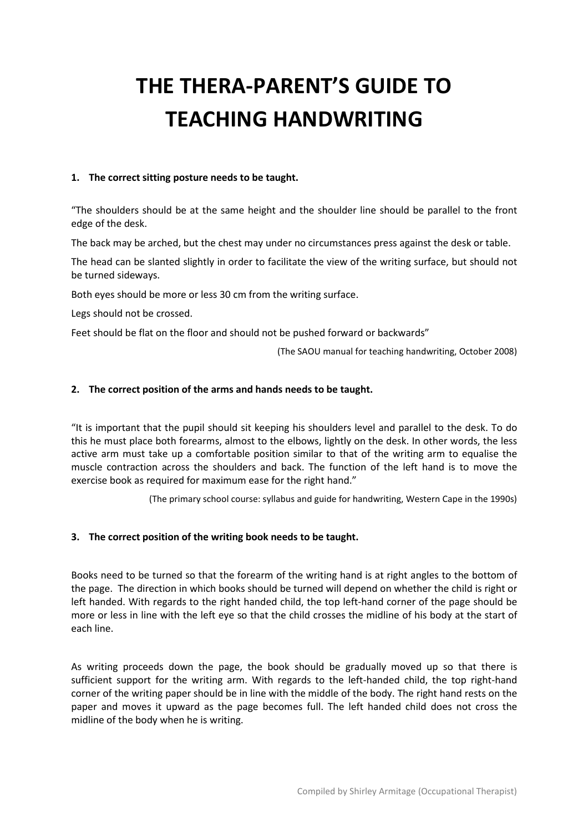# **THE THERA-PARENT'S GUIDE TO TEACHING HANDWRITING**

#### **1. The correct sitting posture needs to be taught.**

"The shoulders should be at the same height and the shoulder line should be parallel to the front edge of the desk.

The back may be arched, but the chest may under no circumstances press against the desk or table.

The head can be slanted slightly in order to facilitate the view of the writing surface, but should not be turned sideways.

Both eyes should be more or less 30 cm from the writing surface.

Legs should not be crossed.

Feet should be flat on the floor and should not be pushed forward or backwards"

(The SAOU manual for teaching handwriting, October 2008)

#### **2. The correct position of the arms and hands needs to be taught.**

"It is important that the pupil should sit keeping his shoulders level and parallel to the desk. To do this he must place both forearms, almost to the elbows, lightly on the desk. In other words, the less active arm must take up a comfortable position similar to that of the writing arm to equalise the muscle contraction across the shoulders and back. The function of the left hand is to move the exercise book as required for maximum ease for the right hand."

(The primary school course: syllabus and guide for handwriting, Western Cape in the 1990s)

#### **3. The correct position of the writing book needs to be taught.**

Books need to be turned so that the forearm of the writing hand is at right angles to the bottom of the page. The direction in which books should be turned will depend on whether the child is right or left handed. With regards to the right handed child, the top left-hand corner of the page should be more or less in line with the left eye so that the child crosses the midline of his body at the start of each line.

As writing proceeds down the page, the book should be gradually moved up so that there is sufficient support for the writing arm. With regards to the left-handed child, the top right-hand corner of the writing paper should be in line with the middle of the body. The right hand rests on the paper and moves it upward as the page becomes full. The left handed child does not cross the midline of the body when he is writing.